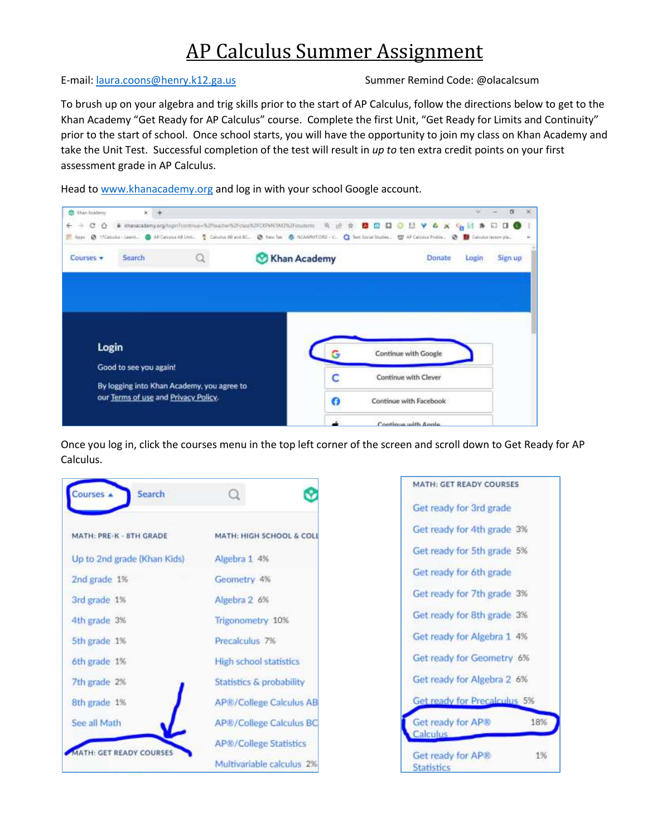## AP Calculus Summer Assignment

## E-mail: [laura.coons@henry.k12.ga.us](mailto:laura.coons@henry.k12.ga.us) Summer Remind Code: @olacalcsum

To brush up on your algebra and trig skills prior to the start of AP Calculus, follow the directions below to get to the Khan Academy "Get Ready for AP Calculus" course. Complete the first Unit, "Get Ready for Limits and Continuity" prior to the start of school. Once school starts, you will have the opportunity to join my class on Khan Academy and take the Unit Test. Successful completion of the test will result in *up to* ten extra credit points on your first assessment grade in AP Calculus.

Head t[o www.khanacademy.org](http://www.khanacademy.org/) and log in with your school Google account.



Once you log in, click the courses menu in the top left corner of the screen and scroll down to Get Ready for AP Calculus.



| MATH: GET READY COURSES                      |
|----------------------------------------------|
| Get ready for 3rd grade                      |
| Get ready for 4th grade 3%                   |
| Get ready for 5th grade 5%                   |
| Get ready for 6th grade                      |
| Get ready for 7th grade 3%                   |
| Get ready for 8th grade 3%                   |
| Get ready for Algebra 1 4%                   |
| Get ready for Geometry 6%                    |
| Get ready for Algebra 2 6%                   |
| Get ready for Precalculus 5%                 |
| 18%<br>Get ready for AP®<br>Calculus         |
| Get ready for AP®<br>1%<br><b>Statistics</b> |